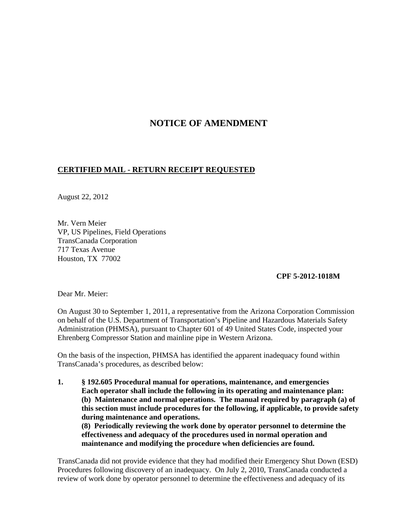## **NOTICE OF AMENDMENT**

## **CERTIFIED MAIL - RETURN RECEIPT REQUESTED**

August 22, 2012

Mr. Vern Meier VP, US Pipelines, Field Operations TransCanada Corporation 717 Texas Avenue Houston, TX 77002

**CPF 5-2012-1018M** 

Dear Mr. Meier:

On August 30 to September 1, 2011, a representative from the Arizona Corporation Commission on behalf of the U.S. Department of Transportation's Pipeline and Hazardous Materials Safety Administration (PHMSA), pursuant to Chapter 601 of 49 United States Code, inspected your Ehrenberg Compressor Station and mainline pipe in Western Arizona.

On the basis of the inspection, PHMSA has identified the apparent inadequacy found within TransCanada's procedures, as described below:

**1. § 192.605 Procedural manual for operations, maintenance, and emergencies Each operator shall include the following in its operating and maintenance plan: (b) Maintenance and normal operations. The manual required by paragraph (a) of this section must include procedures for the following, if applicable, to provide safety during maintenance and operations. (8) Periodically reviewing the work done by operator personnel to determine the effectiveness and adequacy of the procedures used in normal operation and maintenance and modifying the procedure when deficiencies are found.**

TransCanada did not provide evidence that they had modified their Emergency Shut Down (ESD) Procedures following discovery of an inadequacy. On July 2, 2010, TransCanada conducted a review of work done by operator personnel to determine the effectiveness and adequacy of its